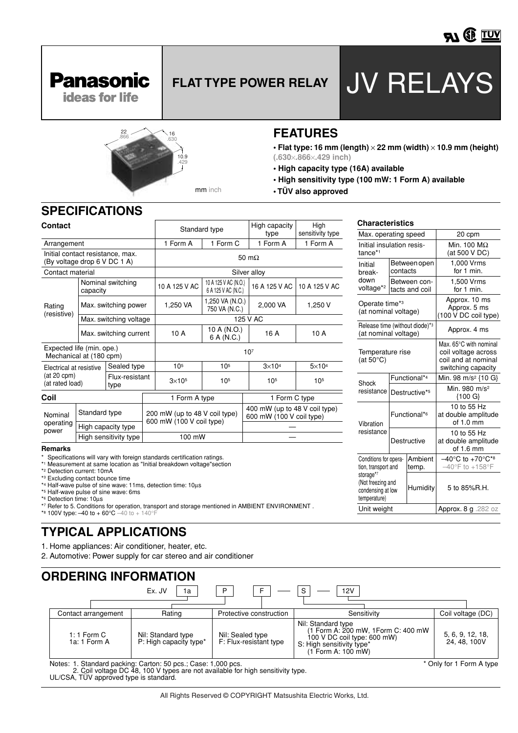

**Panasonic** 

# **FLAT TYPE POWER RELAY** JV RELAYS

Max. operating speed 20 cpm



**• Flat type: 16 mm (length)** × **22 mm (width)** × **10.9 mm (height) (.630**×**.866**×**.429 inch)**

**Characteristics**

- **High capacity type (16A) available**
- **High sensitivity type (100 mW: 1 Form A) available**
- **TÜV also approved**

#### **SPECIFICATIONS**

| Contact                                                          |                        |                        | Standard type   |                                                           | High capacity<br>type            | High<br>sensitivity type                                  |         |  |
|------------------------------------------------------------------|------------------------|------------------------|-----------------|-----------------------------------------------------------|----------------------------------|-----------------------------------------------------------|---------|--|
| Arrangement                                                      |                        |                        | 1 Form A        | 1 Form C                                                  | 1 Form A                         | 1 Form A                                                  |         |  |
| Initial contact resistance, max.<br>(By voltage drop 6 V DC 1 A) |                        |                        | 50 m $\Omega$   |                                                           |                                  |                                                           |         |  |
| Contact material                                                 |                        |                        |                 | Silver alloy                                              |                                  |                                                           |         |  |
| Nominal switching<br>capacity                                    |                        |                        | 10 A 125 V AC   | 10 A 125 V AC (N.O.)<br>6 A 125 V AC (N.C.)               | 16 A 125 V AC                    | 10 A 125 V AC                                             |         |  |
| Rating                                                           | Max. switching power   |                        |                 | 1,250 VA                                                  | 1,250 VA (N.O.)<br>750 VA (N.C.) | 2,000 VA                                                  | 1,250 V |  |
| (resistive)                                                      |                        | Max. switching voltage |                 | 125 V AC                                                  |                                  |                                                           |         |  |
|                                                                  | Max. switching current |                        |                 | 10 A                                                      | 10 A (N.O.)<br>6 A (N.C.)        | 16 A                                                      | 10 A    |  |
| Expected life (min. ope.)<br>Mechanical at (180 cpm)             |                        |                        | 10 <sup>7</sup> |                                                           |                                  |                                                           |         |  |
| Sealed type<br>Electrical at resistive                           |                        |                        | 10 <sup>5</sup> | 10 <sup>5</sup>                                           | $3\times104$                     | $5\times104$                                              |         |  |
| (at 20 cpm)<br>Flux-resistant<br>(at rated load)<br>type         |                        |                        | $3\times105$    | 10 <sup>5</sup>                                           | 10 <sup>5</sup>                  | 10 <sup>5</sup>                                           |         |  |
| Coil                                                             |                        |                        |                 | 1 Form A type                                             |                                  | 1 Form C type                                             |         |  |
| Nominal                                                          | Standard type          |                        |                 | 200 mW (up to 48 V coil type)<br>600 mW (100 V coil type) |                                  | 400 mW (up to 48 V coil type)<br>600 mW (100 V coil type) |         |  |
| operating<br>power                                               | High capacity type     |                        |                 |                                                           |                                  |                                                           |         |  |
|                                                                  | High sensitivity type  |                        |                 | 100 mW                                                    |                                  |                                                           |         |  |
| Remarks                                                          |                        |                        |                 |                                                           |                                  |                                                           |         |  |

10.9 .429

mm inch

| Initial insulation resis-<br>tance*1                                |                                | Min. 100 $M\Omega$<br>(at 500 V DC)                   |                                                                                            |  |
|---------------------------------------------------------------------|--------------------------------|-------------------------------------------------------|--------------------------------------------------------------------------------------------|--|
| Initial<br>break-                                                   | Between open<br>contacts       |                                                       | 1,000 Vrms<br>for 1 min.                                                                   |  |
| down<br>voltage* <sup>2</sup>                                       | Between con-<br>tacts and coil |                                                       | 1.500 Vrms<br>for 1 min.                                                                   |  |
| Operate time* <sup>3</sup><br>(at nominal voltage)                  |                                | Approx. 10 ms<br>Approx. 5 ms<br>(100 V DC coil type) |                                                                                            |  |
| Release time (without diode)*3<br>(at nominal voltage)              |                                |                                                       | Approx. 4 ms                                                                               |  |
| Temperature rise<br>(at $50^{\circ}$ C)                             |                                |                                                       | Max. 65°C with nominal<br>coil voltage across<br>coil and at nominal<br>switching capacity |  |
| Shock                                                               | Functional*4                   |                                                       | Min. 98 m/s <sup>2</sup> {10 G}                                                            |  |
| resistance                                                          |                                | Destructive*5                                         | Min. 980 m/s <sup>2</sup><br>{100 G}                                                       |  |
| Vibration                                                           | Functional* <sup>6</sup>       |                                                       | 10 to 55 Hz<br>at double amplitude<br>of 1.0 mm                                            |  |
| resistance                                                          | Destructive                    |                                                       | 10 to 55 Hz<br>at double amplitude<br>of 1.6 mm                                            |  |
| Conditions for opera-<br>tion, transport and                        |                                | Ambient<br>temp.                                      | $-40^{\circ}$ C to +70 $^{\circ}$ C*8<br>$-40^{\circ}$ F to $+158^{\circ}$ F               |  |
| storage*7<br>(Not freezing and<br>condensing at low<br>temperature) |                                | Humidity                                              | 5 to 85%R.H.                                                                               |  |
| Unit weight                                                         |                                |                                                       | Approx. 8 g .282 oz                                                                        |  |

\* Specifications will vary with foreign standards certification ratings.

\*1 Measurement at same location as "Initial breakdown voltage"section

\*2 Detection current: 10mA

- \*3 Excluding contact bounce time
- \*4 Half-wave pulse of sine wave: 11ms, detection time: 10µs

\*5 Half-wave pulse of sine wave: 6ms

\*6 Detection time: 10µs

\*7 Refer to 5. Conditions for operation, transport and storage mentioned in AMBIENT ENVIRONMENT .

\*8 100V type:  $-40$  to  $+60^{\circ}$ C  $-40$  to  $+140^{\circ}$ F

### **TYPICAL APPLICATIONS**

1. Home appliances: Air conditioner, heater, etc.

2. Automotive: Power supply for car stereo and air conditioner

|                                                                              | ORDERING INFORMATION                                                                      |                                            |                                                                                                                                             |                                  |                   |  |  |  |
|------------------------------------------------------------------------------|-------------------------------------------------------------------------------------------|--------------------------------------------|---------------------------------------------------------------------------------------------------------------------------------------------|----------------------------------|-------------------|--|--|--|
|                                                                              |                                                                                           | Ex. JV<br>1a                               | P<br>F                                                                                                                                      | <sub>S</sub><br>12V              |                   |  |  |  |
|                                                                              | Contact arrangement                                                                       | Rating                                     | Protective construction                                                                                                                     | Sensitivity                      | Coil voltage (DC) |  |  |  |
| $1:1$ Form C<br>Nil: Standard type<br>P: High capacity type*<br>1a: 1 Form A |                                                                                           | Nil: Sealed type<br>F: Flux-resistant type | Nil: Standard type<br>(1 Form A: 200 mW, 1Form C: 400 mW)<br>100 V DC coil type: 600 mW)<br>S: High sensitivity type*<br>(1 Form A: 100 mW) | 5, 6, 9, 12, 18,<br>24, 48, 100V |                   |  |  |  |
|                                                                              | Notes: 1. Standard packing: Carton: 50 pcs.; Case: 1,000 pcs.<br>* Only for 1 Form A type |                                            |                                                                                                                                             |                                  |                   |  |  |  |

2. Coil voltage DC 48, 100 V types are not available for high sensitivity type.

UL/CSA, TÜV approved type is standard.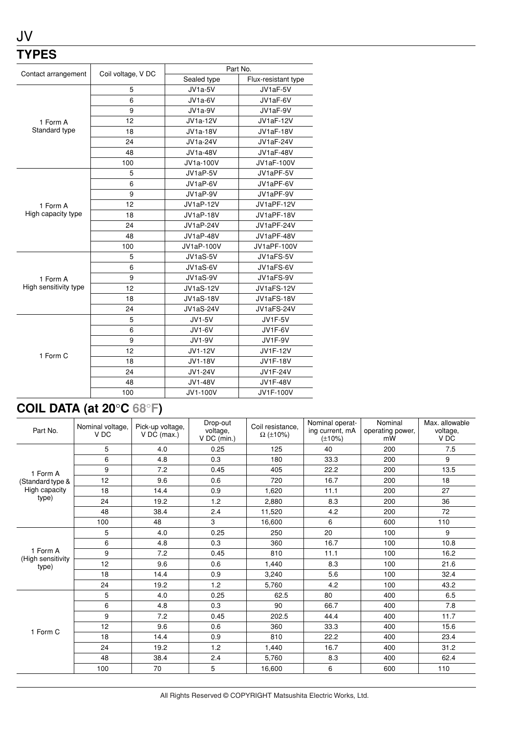### JV **TYPES**

|                       |                    | Part No.         |                     |  |  |
|-----------------------|--------------------|------------------|---------------------|--|--|
| Contact arrangement   | Coil voltage, V DC | Sealed type      | Flux-resistant type |  |  |
|                       | 5                  | JV1a-5V          | JV1aF-5V            |  |  |
|                       | 6                  | JV1a-6V          | JV1aF-6V            |  |  |
|                       | 9                  | JV1a-9V          | JV1aF-9V            |  |  |
| 1 Form A              | 12                 | <b>JV1a-12V</b>  | <b>JV1aF-12V</b>    |  |  |
| Standard type         | 18                 | <b>JV1a-18V</b>  | <b>JV1aF-18V</b>    |  |  |
|                       | 24                 | <b>JV1a-24V</b>  | <b>JV1aF-24V</b>    |  |  |
|                       | 48                 | <b>JV1a-48V</b>  | JV1aF-48V           |  |  |
|                       | 100                | JV1a-100V        | JV1aF-100V          |  |  |
|                       | 5                  | JV1aP-5V         | JV1aPF-5V           |  |  |
|                       | 6                  | JV1aP-6V         | JV1aPF-6V           |  |  |
|                       | 9                  | JV1aP-9V         | JV1aPF-9V           |  |  |
| 1 Form A              | 12                 | JV1aP-12V        | JV1aPF-12V          |  |  |
| High capacity type    | 18                 | JV1aP-18V        | JV1aPF-18V          |  |  |
|                       | 24                 | JV1aP-24V        | JV1aPF-24V          |  |  |
|                       | 48                 | <b>JV1aP-48V</b> | JV1aPF-48V          |  |  |
|                       | 100                | JV1aP-100V       | JV1aPF-100V         |  |  |
|                       | 5                  | JV1aS-5V         | JV1aFS-5V           |  |  |
|                       | 6                  | JV1aS-6V         | JV1aFS-6V           |  |  |
| 1 Form A              | 9                  | JV1aS-9V         | JV1aFS-9V           |  |  |
| High sensitivity type | 12                 | <b>JV1aS-12V</b> | JV1aFS-12V          |  |  |
|                       | 18                 | <b>JV1aS-18V</b> | JV1aFS-18V          |  |  |
|                       | 24                 | <b>JV1aS-24V</b> | JV1aFS-24V          |  |  |
|                       | 5                  | <b>JV1-5V</b>    | <b>JV1F-5V</b>      |  |  |
|                       | 6                  | JV1-6V           | JV1F-6V             |  |  |
|                       | 9                  | <b>JV1-9V</b>    | <b>JV1F-9V</b>      |  |  |
| 1 Form C              | 12                 | JV1-12V          | <b>JV1F-12V</b>     |  |  |
|                       | 18                 | JV1-18V          | <b>JV1F-18V</b>     |  |  |
|                       | 24                 | JV1-24V          | <b>JV1F-24V</b>     |  |  |
|                       | 48                 | JV1-48V          | <b>JV1F-48V</b>     |  |  |
|                       | 100                | JV1-100V         | JV1F-100V           |  |  |

## **COIL DATA (at 20**°**C 68**°**F)**

| Part No.                               | Nominal voltage,<br>V <sub>DC</sub> | Pick-up voltage,<br>$V$ DC (max.) | Drop-out<br>voltage,<br>$V$ DC (min.) | Coil resistance.<br>$\Omega$ (±10%) | Nominal operat-<br>ing current, mA<br>$(\pm 10\%)$ | Nominal<br>operating power,<br>mW | Max. allowable<br>voltage,<br>V DC |
|----------------------------------------|-------------------------------------|-----------------------------------|---------------------------------------|-------------------------------------|----------------------------------------------------|-----------------------------------|------------------------------------|
| 1 Form A                               | 5                                   | 4.0                               | 0.25                                  | 125                                 | 40                                                 | 200                               | 7.5                                |
|                                        | 6                                   | 4.8                               | 0.3                                   | 180                                 | 33.3                                               | 200                               | 9                                  |
|                                        | 9                                   | 7.2                               | 0.45                                  | 405                                 | 22.2                                               | 200                               | 13.5                               |
| (Standard type &                       | 12                                  | 9.6                               | 0.6                                   | 720                                 | 16.7                                               | 200                               | 18                                 |
| High capacity                          | 18                                  | 14.4                              | 0.9                                   | 1,620                               | 11.1                                               | 200                               | 27                                 |
| type)                                  | 24                                  | 19.2                              | 1.2                                   | 2.880                               | 8.3                                                | 200                               | 36                                 |
|                                        | 48                                  | 38.4                              | 2.4                                   | 11,520                              | 4.2                                                | 200                               | 72                                 |
|                                        | 100                                 | 48                                | 3                                     | 16,600                              | 6                                                  | 600                               | 110                                |
|                                        | 5                                   | 4.0                               | 0.25                                  | 250                                 | 20                                                 | 100                               | 9                                  |
|                                        | 6                                   | 4.8                               | 0.3                                   | 360                                 | 16.7                                               | 100                               | 10.8                               |
| 1 Form A<br>(High sensitivity<br>type) | 9                                   | 7.2                               | 0.45                                  | 810                                 | 11.1                                               | 100                               | 16.2                               |
|                                        | 12                                  | 9.6                               | 0.6                                   | 1.440                               | 8.3                                                | 100                               | 21.6                               |
|                                        | 18                                  | 14.4                              | 0.9                                   | 3,240                               | 5.6                                                | 100                               | 32.4                               |
|                                        | 24                                  | 19.2                              | 1.2                                   | 5,760                               | 4.2                                                | 100                               | 43.2                               |
| 1 Form C                               | 5                                   | 4.0                               | 0.25                                  | 62.5                                | 80                                                 | 400                               | 6.5                                |
|                                        | 6                                   | 4.8                               | 0.3                                   | 90                                  | 66.7                                               | 400                               | 7.8                                |
|                                        | 9                                   | 7.2                               | 0.45                                  | 202.5                               | 44.4                                               | 400                               | 11.7                               |
|                                        | 12                                  | 9.6                               | 0.6                                   | 360                                 | 33.3                                               | 400                               | 15.6                               |
|                                        | 18                                  | 14.4                              | 0.9                                   | 810                                 | 22.2                                               | 400                               | 23.4                               |
|                                        | 24                                  | 19.2                              | 1.2                                   | 1,440                               | 16.7                                               | 400                               | 31.2                               |
|                                        | 48                                  | 38.4                              | 2.4                                   | 5,760                               | 8.3                                                | 400                               | 62.4                               |
|                                        | 100                                 | 70                                | 5                                     | 16,600                              | 6                                                  | 600                               | 110                                |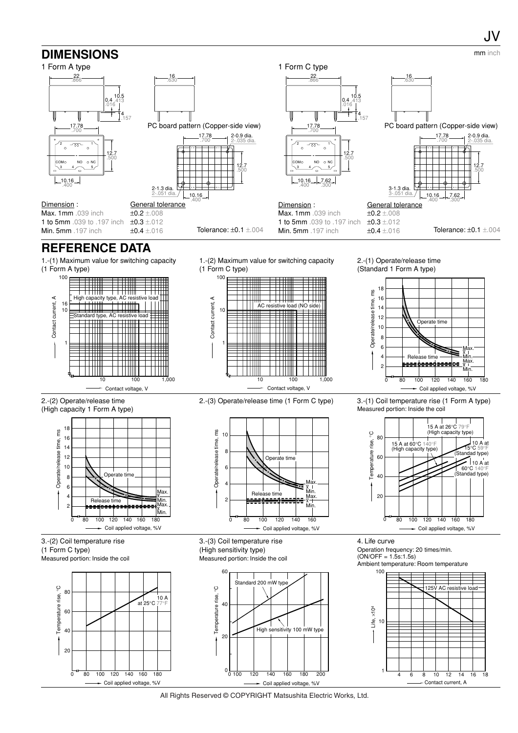

All Rights Reserved © COPYRIGHT Matsushita Electric Works, Ltd.

Coil applied voltage, %V

Contact current, A

Coil applied voltage, %V